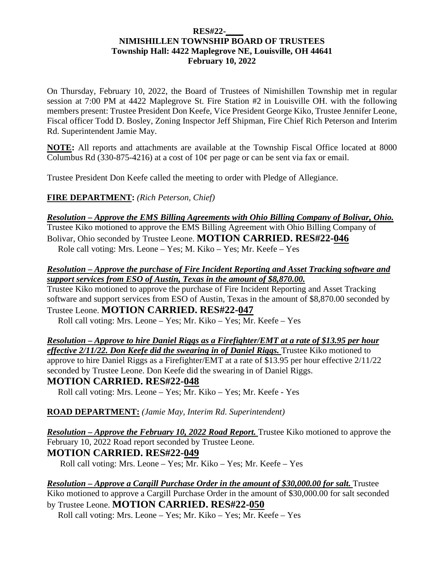#### **RES#22-\_\_\_\_ NIMISHILLEN TOWNSHIP BOARD OF TRUSTEES Township Hall: 4422 Maplegrove NE, Louisville, OH 44641 February 10, 2022**

On Thursday, February 10, 2022, the Board of Trustees of Nimishillen Township met in regular session at 7:00 PM at 4422 Maplegrove St. Fire Station #2 in Louisville OH. with the following members present: Trustee President Don Keefe, Vice President George Kiko, Trustee Jennifer Leone, Fiscal officer Todd D. Bosley, Zoning Inspector Jeff Shipman, Fire Chief Rich Peterson and Interim Rd. Superintendent Jamie May.

**NOTE:** All reports and attachments are available at the Township Fiscal Office located at 8000 Columbus Rd (330-875-4216) at a cost of  $10¢$  per page or can be sent via fax or email.

Trustee President Don Keefe called the meeting to order with Pledge of Allegiance.

**FIRE DEPARTMENT:** *(Rich Peterson, Chief)* 

*Resolution – Approve the EMS Billing Agreements with Ohio Billing Company of Bolivar, Ohio.* 

Trustee Kiko motioned to approve the EMS Billing Agreement with Ohio Billing Company of Bolivar, Ohio seconded by Trustee Leone. **MOTION CARRIED. RES#22-046**  Role call voting: Mrs. Leone – Yes; M. Kiko – Yes; Mr. Keefe – Yes

#### *Resolution – Approve the purchase of Fire Incident Reporting and Asset Tracking software and support services from ESO of Austin, Texas in the amount of \$8,870.00.*

Trustee Kiko motioned to approve the purchase of Fire Incident Reporting and Asset Tracking software and support services from ESO of Austin, Texas in the amount of \$8,870.00 seconded by Trustee Leone. **MOTION CARRIED. RES#22-047** 

Roll call voting: Mrs. Leone – Yes; Mr. Kiko – Yes; Mr. Keefe – Yes

*Resolution – Approve to hire Daniel Riggs as a Firefighter/EMT at a rate of \$13.95 per hour effective 2/11/22. Don Keefe did the swearing in of Daniel Riggs.* **Trustee Kiko motioned to** approve to hire Daniel Riggs as a Firefighter/EMT at a rate of \$13.95 per hour effective 2/11/22 seconded by Trustee Leone. Don Keefe did the swearing in of Daniel Riggs.

#### **MOTION CARRIED. RES#22-048**

Roll call voting: Mrs. Leone – Yes; Mr. Kiko – Yes; Mr. Keefe - Yes

#### **ROAD DEPARTMENT:** *(Jamie May, Interim Rd. Superintendent)*

*Resolution – Approve the February 10, 2022 Road Report.* Trustee Kiko motioned to approve the February 10, 2022 Road report seconded by Trustee Leone.

#### **MOTION CARRIED. RES#22-049**

Roll call voting: Mrs. Leone – Yes; Mr. Kiko – Yes; Mr. Keefe – Yes

*Resolution – Approve a Cargill Purchase Order in the amount of \$30,000.00 for salt. Trustee* Kiko motioned to approve a Cargill Purchase Order in the amount of \$30,000.00 for salt seconded by Trustee Leone. **MOTION CARRIED. RES#22-050** 

Roll call voting: Mrs. Leone – Yes; Mr. Kiko – Yes; Mr. Keefe – Yes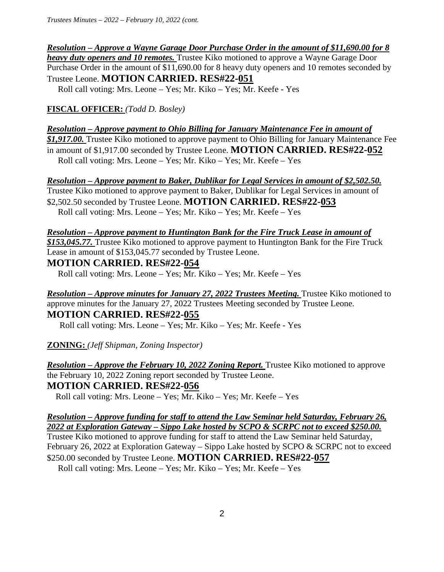# *Resolution – Approve a Wayne Garage Door Purchase Order in the amount of \$11,690.00 for 8*

*heavy duty openers and 10 remotes.* Trustee Kiko motioned to approve a Wayne Garage Door Purchase Order in the amount of \$11,690.00 for 8 heavy duty openers and 10 remotes seconded by Trustee Leone. **MOTION CARRIED. RES#22-051** 

Roll call voting: Mrs. Leone – Yes; Mr. Kiko – Yes; Mr. Keefe - Yes

# **FISCAL OFFICER:** *(Todd D. Bosley)*

*Resolution – Approve payment to Ohio Billing for January Maintenance Fee in amount of \$1,917.00.* Trustee Kiko motioned to approve payment to Ohio Billing for January Maintenance Fee in amount of \$1,917.00 seconded by Trustee Leone. **MOTION CARRIED. RES#22-052** Roll call voting: Mrs. Leone – Yes; Mr. Kiko – Yes; Mr. Keefe – Yes

*Resolution – Approve payment to Baker, Dublikar for Legal Services in amount of \$2,502.50.*  Trustee Kiko motioned to approve payment to Baker, Dublikar for Legal Services in amount of \$2,502.50 seconded by Trustee Leone. **MOTION CARRIED. RES#22-053** Roll call voting: Mrs. Leone – Yes; Mr. Kiko – Yes; Mr. Keefe – Yes

*Resolution – Approve payment to Huntington Bank for the Fire Truck Lease in amount of \$153,045.77.* Trustee Kiko motioned to approve payment to Huntington Bank for the Fire Truck Lease in amount of \$153,045.77 seconded by Trustee Leone.

# **MOTION CARRIED. RES#22-054**

Roll call voting: Mrs. Leone – Yes; Mr. Kiko – Yes; Mr. Keefe – Yes

**Resolution – Approve minutes for January 27, 2022 Trustees Meeting.** Trustee Kiko motioned to approve minutes for the January 27, 2022 Trustees Meeting seconded by Trustee Leone. **MOTION CARRIED. RES#22-055** 

Roll call voting: Mrs. Leone – Yes; Mr. Kiko – Yes; Mr. Keefe - Yes

**ZONING:** *(Jeff Shipman, Zoning Inspector)* 

*Resolution – Approve the February 10, 2022 Zoning Report.* Trustee Kiko motioned to approve the February 10, 2022 Zoning report seconded by Trustee Leone. **MOTION CARRIED. RES#22-056** 

Roll call voting: Mrs. Leone – Yes; Mr. Kiko – Yes; Mr. Keefe – Yes

# *Resolution – Approve funding for staff to attend the Law Seminar held Saturday, February 26, 2022 at Exploration Gateway – Sippo Lake hosted by SCPO & SCRPC not to exceed \$250.00.*  Trustee Kiko motioned to approve funding for staff to attend the Law Seminar held Saturday, February 26, 2022 at Exploration Gateway – Sippo Lake hosted by SCPO & SCRPC not to exceed \$250.00 seconded by Trustee Leone. **MOTION CARRIED. RES#22-057**

Roll call voting: Mrs. Leone – Yes; Mr. Kiko – Yes; Mr. Keefe – Yes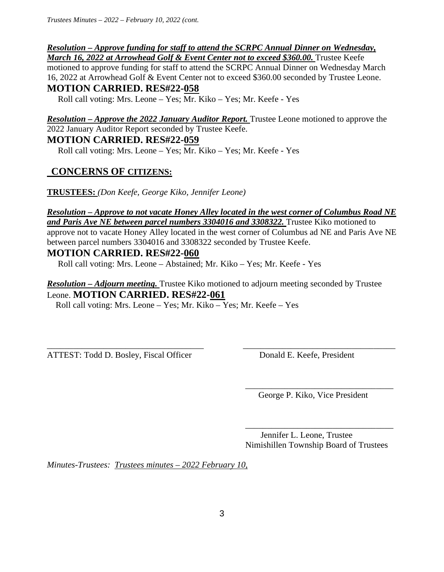#### *Resolution – Approve funding for staff to attend the SCRPC Annual Dinner on Wednesday, March 16, 2022 at Arrowhead Golf & Event Center not to exceed \$360.00.* Trustee Keefe

motioned to approve funding for staff to attend the SCRPC Annual Dinner on Wednesday March 16, 2022 at Arrowhead Golf & Event Center not to exceed \$360.00 seconded by Trustee Leone. **MOTION CARRIED. RES#22-058** 

Roll call voting: Mrs. Leone – Yes; Mr. Kiko – Yes; Mr. Keefe - Yes

### *Resolution – Approve the 2022 January Auditor Report.* Trustee Leone motioned to approve the 2022 January Auditor Report seconded by Trustee Keefe.

# **MOTION CARRIED. RES#22-059**

Roll call voting: Mrs. Leone – Yes; Mr. Kiko – Yes; Mr. Keefe - Yes

# **CONCERNS OF CITIZENS:**

**TRUSTEES:** *(Don Keefe, George Kiko, Jennifer Leone)* 

#### *Resolution – Approve to not vacate Honey Alley located in the west corner of Columbus Road NE and Paris Ave NE between parcel numbers 3304016 and 3308322.* Trustee Kiko motioned to approve not to vacate Honey Alley located in the west corner of Columbus ad NE and Paris Ave NE between parcel numbers 3304016 and 3308322 seconded by Trustee Keefe.

### **MOTION CARRIED. RES#22-060**

Roll call voting: Mrs. Leone – Abstained; Mr. Kiko – Yes; Mr. Keefe - Yes

# *Resolution – Adjourn meeting.* Trustee Kiko motioned to adjourn meeting seconded by Trustee Leone. **MOTION CARRIED. RES#22-061**

\_\_\_\_\_\_\_\_\_\_\_\_\_\_\_\_\_\_\_\_\_\_\_\_\_\_\_\_\_\_\_\_\_\_\_\_ \_\_\_\_\_\_\_\_\_\_\_\_\_\_\_\_\_\_\_\_\_\_\_\_\_\_\_\_\_\_\_\_\_\_\_

 $\overline{\phantom{a}}$  , and the contract of the contract of the contract of the contract of the contract of the contract of the contract of the contract of the contract of the contract of the contract of the contract of the contrac

Roll call voting: Mrs. Leone – Yes; Mr. Kiko – Yes; Mr. Keefe – Yes

ATTEST: Todd D. Bosley, Fiscal Officer Donald E. Keefe, President

 $\overline{\phantom{a}}$  , and the contract of the contract of the contract of the contract of the contract of the contract of the contract of the contract of the contract of the contract of the contract of the contract of the contrac George P. Kiko, Vice President

> Jennifer L. Leone, Trustee Nimishillen Township Board of Trustees

*Minutes-Trustees: Trustees minutes – 2022 February 10,*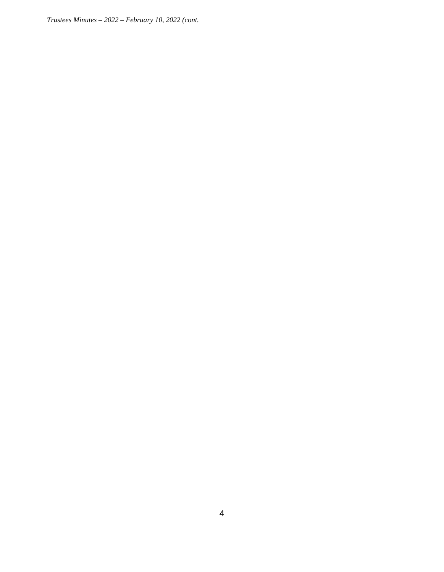*Trustees Minutes – 2022 – February 10, 2022 (cont.*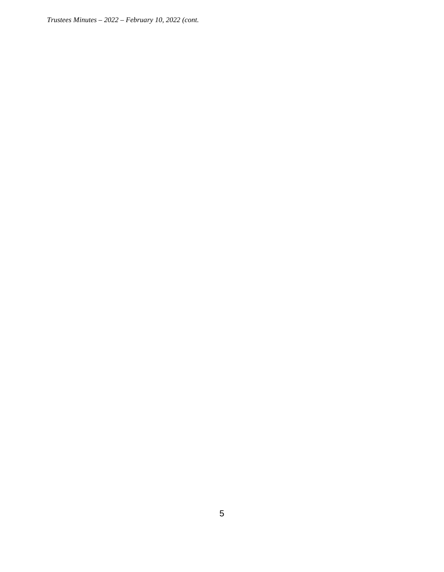*Trustees Minutes – 2022 – February 10, 2022 (cont.*